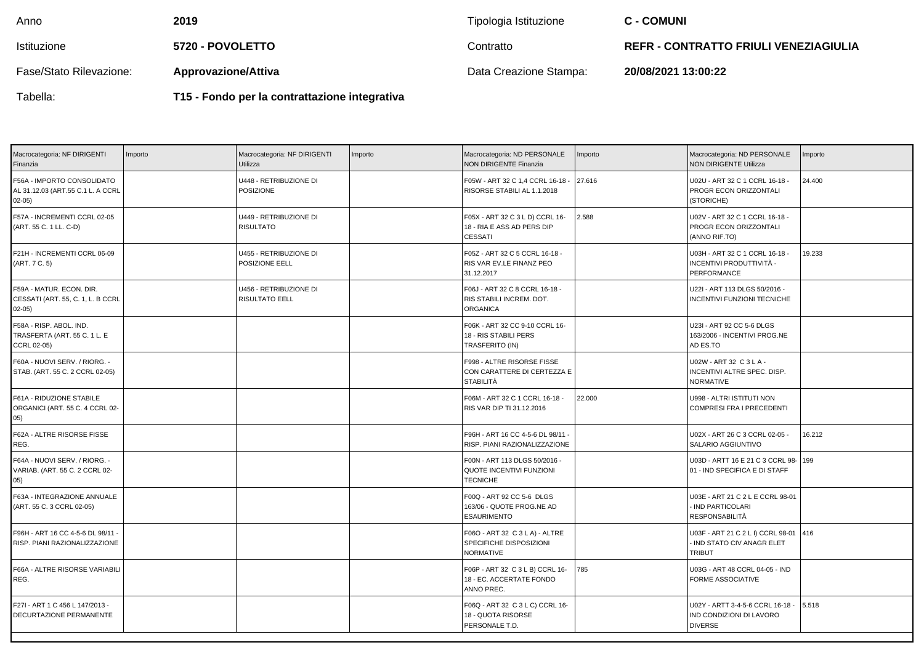| Anno                    | 2019                                          | Tipologia Istituzione  | <b>C - COMUNI</b>                            |
|-------------------------|-----------------------------------------------|------------------------|----------------------------------------------|
| Istituzione             | <b>5720 - POVOLETTO</b>                       | Contratto              | <b>REFR - CONTRATTO FRIULI VENEZIAGIULIA</b> |
| Fase/Stato Rilevazione: | <b>Approvazione/Attiva</b>                    | Data Creazione Stampa: | 20/08/2021 13:00:22                          |
| Tabella:                | T15 - Fondo per la contrattazione integrativa |                        |                                              |

| Macrocategoria: NF DIRIGENTI<br>Finanzia                                  | Importo | Macrocategoria: NF DIRIGENTI<br>Utilizza   | Importo | Macrocategoria: ND PERSONALE<br>NON DIRIGENTE Finanzia                          | Importo | Macrocategoria: ND PERSONALE<br><b>NON DIRIGENTE Utilizza</b>                        | Importo |
|---------------------------------------------------------------------------|---------|--------------------------------------------|---------|---------------------------------------------------------------------------------|---------|--------------------------------------------------------------------------------------|---------|
| F56A - IMPORTO CONSOLIDATO<br>AL 31.12.03 (ART.55 C.1 L. A CCRL<br>02-05) |         | U448 - RETRIBUZIONE DI<br><b>POSIZIONE</b> |         | F05W - ART 32 C 1,4 CCRL 16-18 -<br>RISORSE STABILI AL 1.1.2018                 | 27.616  | U02U - ART 32 C 1 CCRL 16-18 -<br>PROGR ECON ORIZZONTALI<br>(STORICHE)               | 24.400  |
| F57A - INCREMENTI CCRL 02-05<br>(ART. 55 C. 1 LL. C-D)                    |         | U449 - RETRIBUZIONE DI<br><b>RISULTATO</b> |         | F05X - ART 32 C 3 L D) CCRL 16-<br>18 - RIA E ASS AD PERS DIP<br><b>CESSATI</b> | 2.588   | U02V - ART 32 C 1 CCRL 16-18 -<br>PROGR ECON ORIZZONTALI<br>(ANNO RIF.TO)            |         |
| F21H - INCREMENTI CCRL 06-09<br>(ART. 7 C. 5)                             |         | U455 - RETRIBUZIONE DI<br>POSIZIONE EELL   |         | F05Z - ART 32 C 5 CCRL 16-18 -<br>RIS VAR EV.LE FINANZ PEO<br>31.12.2017        |         | U03H - ART 32 C 1 CCRL 16-18 -<br>INCENTIVI PRODUTTIVITÀ -<br>PERFORMANCE            | 19.233  |
| F59A - MATUR. ECON. DIR.<br>CESSATI (ART. 55, C. 1, L. B CCRL<br>02-05)   |         | U456 - RETRIBUZIONE DI<br>RISULTATO EELL   |         | F06J - ART 32 C 8 CCRL 16-18 -<br>RIS STABILI INCREM. DOT.<br><b>ORGANICA</b>   |         | U22I - ART 113 DLGS 50/2016 -<br>INCENTIVI FUNZIONI TECNICHE                         |         |
| F58A - RISP, ABOL, IND.<br>TRASFERTA (ART. 55 C. 1 L. E<br>CCRL 02-05)    |         |                                            |         | F06K - ART 32 CC 9-10 CCRL 16-<br>18 - RIS STABILI PERS<br>TRASFERITO (IN)      |         | U23I - ART 92 CC 5-6 DLGS<br>163/2006 - INCENTIVI PROG.NE<br>AD ES.TO                |         |
| F60A - NUOVI SERV. / RIORG. -<br>STAB. (ART. 55 C. 2 CCRL 02-05)          |         |                                            |         | F998 - ALTRE RISORSE FISSE<br>CON CARATTERE DI CERTEZZA E<br><b>STABILITÀ</b>   |         | U02W - ART 32 C 3 L A -<br>INCENTIVI ALTRE SPEC. DISP.<br><b>NORMATIVE</b>           |         |
| F61A - RIDUZIONE STABILE<br>ORGANICI (ART. 55 C. 4 CCRL 02-<br>05)        |         |                                            |         | F06M - ART 32 C 1 CCRL 16-18 -<br>RIS VAR DIP TI 31.12.2016                     | 22.000  | U998 - ALTRI ISTITUTI NON<br><b>COMPRESI FRA I PRECEDENTI</b>                        |         |
| F62A - ALTRE RISORSE FISSE<br>REG.                                        |         |                                            |         | F96H - ART 16 CC 4-5-6 DL 98/11 -<br>RISP. PIANI RAZIONALIZZAZIONE              |         | U02X - ART 26 C 3 CCRL 02-05 -<br>SALARIO AGGIUNTIVO                                 | 16.212  |
| F64A - NUOVI SERV. / RIORG. -<br>VARIAB. (ART. 55 C. 2 CCRL 02-<br>05)    |         |                                            |         | F00N - ART 113 DLGS 50/2016 -<br>QUOTE INCENTIVI FUNZIONI<br><b>TECNICHE</b>    |         | U03D - ARTT 16 E 21 C 3 CCRL 98- 199<br>01 - IND SPECIFICA E DI STAFF                |         |
| F63A - INTEGRAZIONE ANNUALE<br>(ART. 55 C. 3 CCRL 02-05)                  |         |                                            |         | F00Q - ART 92 CC 5-6 DLGS<br>163/06 - QUOTE PROG.NE AD<br><b>ESAURIMENTO</b>    |         | U03E - ART 21 C 2 L E CCRL 98-01<br>IND PARTICOLARI<br><b>RESPONSABILITÀ</b>         |         |
| F96H - ART 16 CC 4-5-6 DL 98/11 -<br>RISP. PIANI RAZIONALIZZAZIONE        |         |                                            |         | F06O - ART 32 C 3 L A) - ALTRE<br>SPECIFICHE DISPOSIZIONI<br><b>NORMATIVE</b>   |         | U03F - ART 21 C 2 L I) CCRL 98-01   416<br>IND STATO CIV ANAGR ELET<br><b>TRIBUT</b> |         |
| F66A - ALTRE RISORSE VARIABILI<br>REG.                                    |         |                                            |         | F06P - ART 32 C 3 L B) CCRL 16-<br>18 - EC. ACCERTATE FONDO<br>ANNO PREC.       | 785     | U03G - ART 48 CCRL 04-05 - IND<br>FORME ASSOCIATIVE                                  |         |
| F27I - ART 1 C 456 L 147/2013 -<br>DECURTAZIONE PERMANENTE                |         |                                            |         | F06Q - ART 32 C 3 L C) CCRL 16-<br>18 - QUOTA RISORSE<br>PERSONALE T.D.         |         | U02Y - ARTT 3-4-5-6 CCRL 16-18 -<br>IND CONDIZIONI DI LAVORO<br><b>DIVERSE</b>       | 5.518   |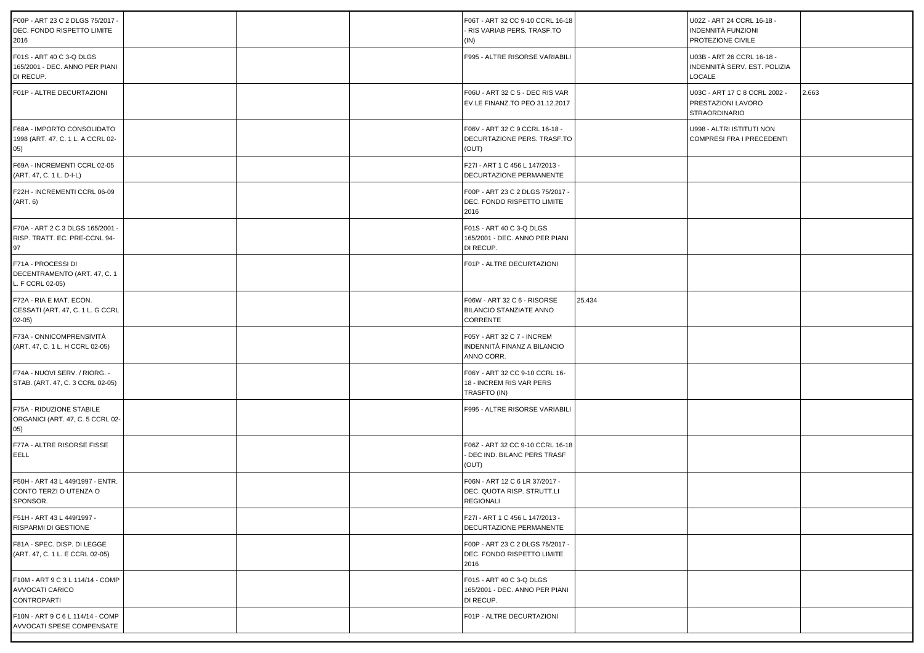| F00P - ART 23 C 2 DLGS 75/2017 -<br>DEC. FONDO RISPETTO LIMITE<br>2016    |  | F06T - ART 32 CC 9-10 CCRL 16-18<br>- RIS VARIAB PERS. TRASF.TO<br>(IN)    |        | U02Z - ART 24 CCRL 16-18 -<br>INDENNITÀ FUNZIONI<br>PROTEZIONE CIVILE       |       |
|---------------------------------------------------------------------------|--|----------------------------------------------------------------------------|--------|-----------------------------------------------------------------------------|-------|
| F01S - ART 40 C 3-Q DLGS<br>165/2001 - DEC. ANNO PER PIANI<br>DI RECUP.   |  | F995 - ALTRE RISORSE VARIABILI                                             |        | U03B - ART 26 CCRL 16-18 -<br>INDENNITÀ SERV. EST. POLIZIA<br>LOCALE        |       |
| F01P - ALTRE DECURTAZIONI                                                 |  | F06U - ART 32 C 5 - DEC RIS VAR<br>EV.LE FINANZ.TO PEO 31.12.2017          |        | U03C - ART 17 C 8 CCRL 2002 -<br>PRESTAZIONI LAVORO<br><b>STRAORDINARIO</b> | 2.663 |
| F68A - IMPORTO CONSOLIDATO<br>1998 (ART. 47, C. 1 L. A CCRL 02-<br>(05)   |  | F06V - ART 32 C 9 CCRL 16-18 -<br>DECURTAZIONE PERS. TRASF.TO<br>(OUT)     |        | U998 - ALTRI ISTITUTI NON<br>COMPRESI FRA I PRECEDENTI                      |       |
| F69A - INCREMENTI CCRL 02-05<br>(ART. 47, C. 1 L. D-I-L)                  |  | F27I - ART 1 C 456 L 147/2013 -<br>DECURTAZIONE PERMANENTE                 |        |                                                                             |       |
| F22H - INCREMENTI CCRL 06-09<br>(ART. 6)                                  |  | F00P - ART 23 C 2 DLGS 75/2017 -<br>DEC. FONDO RISPETTO LIMITE<br>2016     |        |                                                                             |       |
| F70A - ART 2 C 3 DLGS 165/2001 -<br>RISP. TRATT. EC. PRE-CCNL 94-<br>97   |  | F01S - ART 40 C 3-Q DLGS<br>165/2001 - DEC. ANNO PER PIANI<br>DI RECUP.    |        |                                                                             |       |
| F71A - PROCESSI DI<br>DECENTRAMENTO (ART. 47, C. 1<br>L. F CCRL 02-05)    |  | F01P - ALTRE DECURTAZIONI                                                  |        |                                                                             |       |
| F72A - RIA E MAT, ECON.<br>CESSATI (ART. 47, C. 1 L. G CCRL<br>$02-05)$   |  | F06W - ART 32 C 6 - RISORSE<br><b>BILANCIO STANZIATE ANNO</b><br>CORRENTE  | 25.434 |                                                                             |       |
| F73A - ONNICOMPRENSIVITÀ<br>(ART. 47, C. 1 L. H CCRL 02-05)               |  | F05Y - ART 32 C 7 - INCREM<br>INDENNITÀ FINANZ A BILANCIO<br>ANNO CORR.    |        |                                                                             |       |
| F74A - NUOVI SERV. / RIORG. -<br>STAB. (ART. 47, C. 3 CCRL 02-05)         |  | F06Y - ART 32 CC 9-10 CCRL 16-<br>18 - INCREM RIS VAR PERS<br>TRASFTO (IN) |        |                                                                             |       |
| F75A - RIDUZIONE STABILE<br>ORGANICI (ART. 47, C. 5 CCRL 02-<br>(05)      |  | F995 - ALTRE RISORSE VARIABILI                                             |        |                                                                             |       |
| F77A - ALTRE RISORSE FISSE<br>EELL                                        |  | F06Z - ART 32 CC 9-10 CCRL 16-18<br>- DEC IND. BILANC PERS TRASF<br>(OUT)  |        |                                                                             |       |
| F50H - ART 43 L 449/1997 - ENTR.<br>CONTO TERZI O UTENZA O<br>SPONSOR.    |  | F06N - ART 12 C 6 LR 37/2017 -<br>DEC. QUOTA RISP. STRUTT.LI<br>REGIONALI  |        |                                                                             |       |
| F51H - ART 43 L 449/1997 -<br>RISPARMI DI GESTIONE                        |  | F27I - ART 1 C 456 L 147/2013 -<br>DECURTAZIONE PERMANENTE                 |        |                                                                             |       |
| F81A - SPEC. DISP. DI LEGGE<br>(ART. 47, C. 1 L. E CCRL 02-05)            |  | F00P - ART 23 C 2 DLGS 75/2017 -<br>DEC. FONDO RISPETTO LIMITE<br>2016     |        |                                                                             |       |
| F10M - ART 9 C 3 L 114/14 - COMP<br>AVVOCATI CARICO<br><b>CONTROPARTI</b> |  | F01S - ART 40 C 3-Q DLGS<br>165/2001 - DEC. ANNO PER PIANI<br>DI RECUP.    |        |                                                                             |       |
| F10N - ART 9 C 6 L 114/14 - COMP<br>AVVOCATI SPESE COMPENSATE             |  | F01P - ALTRE DECURTAZIONI                                                  |        |                                                                             |       |